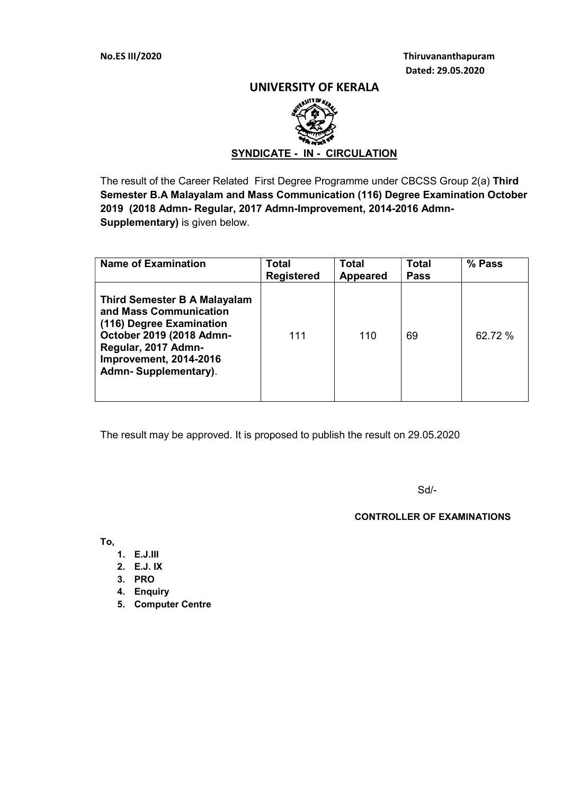No.ES III/2020 Thiruvananthapuram Dated: 29.05.2020

### UNIVERSITY OF KERALA



The result of the Career Related First Degree Programme under CBCSS Group 2(a) Third Semester B.A Malayalam and Mass Communication (116) Degree Examination October 2019 (2018 Admn- Regular, 2017 Admn-Improvement, 2014-2016 Admn-Supplementary) is given below.

| <b>Name of Examination</b>                                                                                                                                                                     | <b>Total</b><br><b>Registered</b> | <b>Total</b><br><b>Appeared</b> | <b>Total</b><br><b>Pass</b> | % Pass  |
|------------------------------------------------------------------------------------------------------------------------------------------------------------------------------------------------|-----------------------------------|---------------------------------|-----------------------------|---------|
| <b>Third Semester B A Malayalam</b><br>and Mass Communication<br>(116) Degree Examination<br>October 2019 (2018 Admn-<br>Regular, 2017 Admn-<br>Improvement, 2014-2016<br>Admn-Supplementary). | 111                               | 110                             | 69                          | 62.72 % |

The result may be approved. It is proposed to publish the result on 29.05.2020

Sd/-

### CONTROLLER OF EXAMINATIONS

To,

- 1. E.J.III
- 2. E.J. IX
- 3. PRO
- 4. Enquiry
- 5. Computer Centre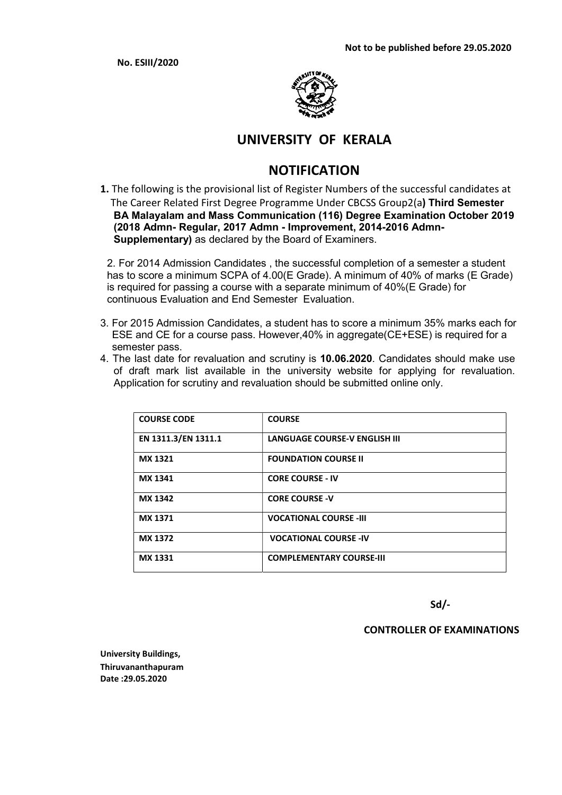No. ESIII/2020



## UNIVERSITY OF KERALA

# NOTIFICATION

1. The following is the provisional list of Register Numbers of the successful candidates at The Career Related First Degree Programme Under CBCSS Group2(a) Third Semester BA Malayalam and Mass Communication (116) Degree Examination October 2019 (2018 Admn- Regular, 2017 Admn - Improvement, 2014-2016 Admn-Supplementary) as declared by the Board of Examiners.

2. For 2014 Admission Candidates , the successful completion of a semester a student has to score a minimum SCPA of 4.00(E Grade). A minimum of 40% of marks (E Grade) is required for passing a course with a separate minimum of 40%(E Grade) for continuous Evaluation and End Semester Evaluation.

- 3. For 2015 Admission Candidates, a student has to score a minimum 35% marks each for ESE and CE for a course pass. However,40% in aggregate(CE+ESE) is required for a semester pass.
- 4. The last date for revaluation and scrutiny is 10.06.2020. Candidates should make use of draft mark list available in the university website for applying for revaluation. Application for scrutiny and revaluation should be submitted online only.

| <b>COURSE CODE</b>  | <b>COURSE</b>                        |
|---------------------|--------------------------------------|
| EN 1311.3/EN 1311.1 | <b>LANGUAGE COURSE-V ENGLISH III</b> |
| <b>MX 1321</b>      | <b>FOUNDATION COURSE II</b>          |
| MX 1341             | <b>CORE COURSE - IV</b>              |
| MX 1342             | <b>CORE COURSE -V</b>                |
| MX 1371             | <b>VOCATIONAL COURSE -III</b>        |
| <b>MX 1372</b>      | <b>VOCATIONAL COURSE -IV</b>         |
| <b>MX 1331</b>      | <b>COMPLEMENTARY COURSE-III</b>      |

Sd/-

### CONTROLLER OF EXAMINATIONS

University Buildings, Thiruvananthapuram Date :29.05.2020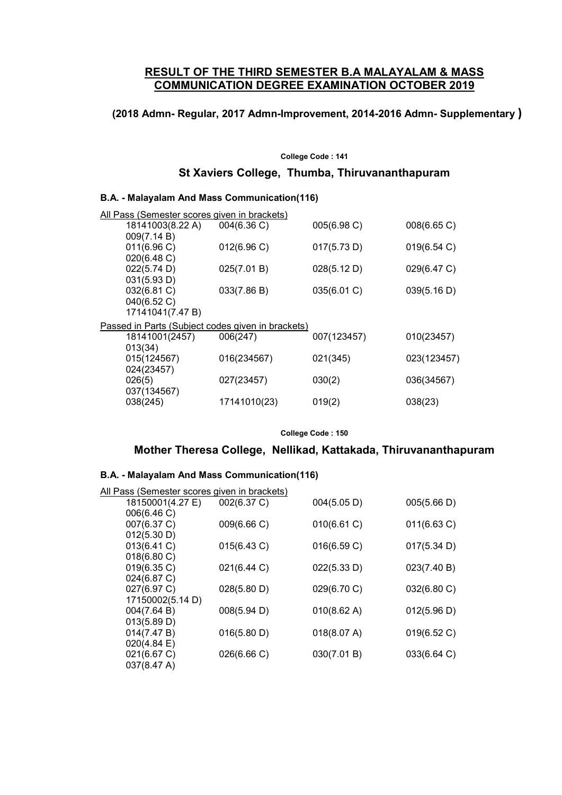## RESULT OF THE THIRD SEMESTER B.A MALAYALAM & MASS COMMUNICATION DEGREE EXAMINATION OCTOBER 2019

## (2018 Admn- Regular, 2017 Admn-Improvement, 2014-2016 Admn- Supplementary )

#### College Code : 141

### St Xaviers College, Thumba, Thiruvananthapuram

#### B.A. - Malayalam And Mass Communication(116)

| <u> All Pass (Semester scores given in brackets)</u> |                                                   |              |             |             |
|------------------------------------------------------|---------------------------------------------------|--------------|-------------|-------------|
|                                                      | 18141003(8.22 A)                                  | 004(6.36)    | 005(6.98 C) | 008(6.65 C) |
|                                                      | 009(7.14 B)                                       |              |             |             |
|                                                      | 011(6.96 C)                                       | 012(6.96)    | 017(5.73 D) | 019(6.54 C) |
|                                                      | 020(6.48 C)                                       |              |             |             |
|                                                      | 022(5.74 D)                                       | 025(7.01 B)  | 028(5.12 D) | 029(6.47 C) |
|                                                      | 031(5.93 D)                                       |              |             |             |
|                                                      | 032(6.81 C)                                       | 033(7.86 B)  | 035(6.01 C) | 039(5.16 D) |
|                                                      | 040(6.52 C)                                       |              |             |             |
|                                                      | 17141041(7.47 B)                                  |              |             |             |
|                                                      | Passed in Parts (Subject codes given in brackets) |              |             |             |
|                                                      | 18141001(2457)                                    | 006(247)     | 007(123457) | 010(23457)  |
|                                                      | 013(34)                                           |              |             |             |
|                                                      | 015(124567)                                       | 016(234567)  | 021(345)    | 023(123457) |
|                                                      | 024(23457)                                        |              |             |             |
|                                                      | 026(5)                                            | 027(23457)   | 030(2)      | 036(34567)  |
|                                                      | 037(134567)                                       |              |             |             |
|                                                      | 038(245)                                          | 17141010(23) | 019(2)      | 038(23)     |
|                                                      |                                                   |              |             |             |

College Code : 150

## Mother Theresa College, Nellikad, Kattakada, Thiruvananthapuram

#### B.A. - Malayalam And Mass Communication(116)

| <u>All Pass (Semester scores given in brackets)</u> |             |             |             |
|-----------------------------------------------------|-------------|-------------|-------------|
| 18150001(4.27 E)                                    | 002(6.37 C) | 004(5.05 D) | 005(5.66 D) |
| 006(6.46 C)                                         |             |             |             |
| 007(6.37 C)                                         | 009(6.66 C) | 010(6.61 C) | 011(6.63 C) |
| 012(5.30 D)                                         |             |             |             |
| 013(6.41 C)                                         | 015(6.43 C) | 016(6.59 C) | 017(5.34 D) |
| 018(6.80 C)                                         |             |             |             |
| 019(6.35 C)                                         | 021(6.44 C) | 022(5.33 D) | 023(7.40 B) |
| 024(6.87 C)                                         |             |             |             |
| 027(6.97 C)                                         | 028(5.80 D) | 029(6.70 C) | 032(6.80 C) |
| 17150002(5.14 D)                                    |             |             |             |
| 004(7.64 B)                                         | 008(5.94 D) | 010(8.62 A) | 012(5.96 D) |
| 013(5.89 D)                                         |             |             |             |
| 014(7.47 B)                                         | 016(5.80 D) | 018(8.07 A) | 019(6.52 C) |
| $020(4.84 \text{ E})$                               |             |             |             |
| 021(6.67 C)                                         | 026(6.66 C) | 030(7.01 B) | 033(6.64 C) |
| 037(8.47 A)                                         |             |             |             |
|                                                     |             |             |             |